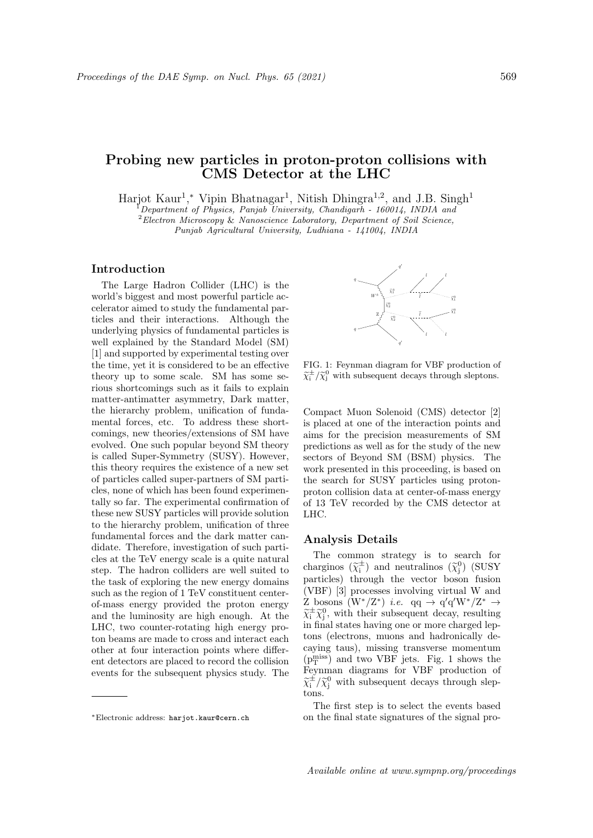# Probing new particles in proton-proton collisions with CMS Detector at the LHC

Harjot Kaur<sup>1</sup>,\* Vipin Bhatnagar<sup>1</sup>, Nitish Dhingra<sup>1,2</sup>, and J.B. Singh<sup>1</sup>

<sup>1</sup>Department of Physics, Panjab University, Chandigarh - 160014, INDIA and  $2$ Electron Microscopy & Nanoscience Laboratory, Department of Soil Science,

Punjab Agricultural University, Ludhiana - 141004, INDIA

### Introduction

The Large Hadron Collider (LHC) is the world's biggest and most powerful particle accelerator aimed to study the fundamental particles and their interactions. Although the underlying physics of fundamental particles is well explained by the Standard Model (SM) [1] and supported by experimental testing over the time, yet it is considered to be an effective theory up to some scale. SM has some serious shortcomings such as it fails to explain matter-antimatter asymmetry, Dark matter, the hierarchy problem, unification of fundamental forces, etc. To address these shortcomings, new theories/extensions of SM have evolved. One such popular beyond SM theory is called Super-Symmetry (SUSY). However, this theory requires the existence of a new set of particles called super-partners of SM particles, none of which has been found experimentally so far. The experimental confirmation of these new SUSY particles will provide solution to the hierarchy problem, unification of three fundamental forces and the dark matter candidate. Therefore, investigation of such particles at the TeV energy scale is a quite natural step. The hadron colliders are well suited to the task of exploring the new energy domains such as the region of 1 TeV constituent centerof-mass energy provided the proton energy and the luminosity are high enough. At the LHC, two counter-rotating high energy proton beams are made to cross and interact each other at four interaction points where different detectors are placed to record the collision events for the subsequent physics study. The



FIG. 1: Feynman diagram for VBF production of  $\widetilde{\chi}_i^{\pm}/\widetilde{\chi}_j^0$  with subsequent decays through sleptons.

Compact Muon Solenoid (CMS) detector [2] is placed at one of the interaction points and aims for the precision measurements of SM predictions as well as for the study of the new sectors of Beyond SM (BSM) physics. The work presented in this proceeding, is based on the search for SUSY particles using protonproton collision data at center-of-mass energy of 13 TeV recorded by the CMS detector at LHC.

## Analysis Details

The common strategy is to search for charginos  $(\widetilde{\chi}_i^{\pm})$  and neutralinos  $(\widetilde{\chi}_j^0)$  (SUSY particles) through the vector boson fusion (VBF) [3] processes involving virtual W and Z bosons  $(W^*/Z^*)$  *i.e.* qq  $\rightarrow$  q'q' $W^*/Z^*$   $\rightarrow$  $\widetilde{\chi}_{i}^{\pm} \widetilde{\chi}_{j}^{0}$ , with their subsequent decay, resulting<br>in final states having are an map shared lap in final states having one or more charged leptons (electrons, muons and hadronically decaying taus), missing transverse momentum  $(p_T^{\text{miss}})$  and two VBF jets. Fig. 1 shows the Feynman diagrams for VBF production of  $\widetilde{\chi}^{\pm}_{i}/\widetilde{\chi}^{0}_{j}$  with subsequent decays through sleptons.

The first step is to select the events based on the final state signatures of the signal pro-

<sup>∗</sup>Electronic address: harjot.kaur@cern.ch